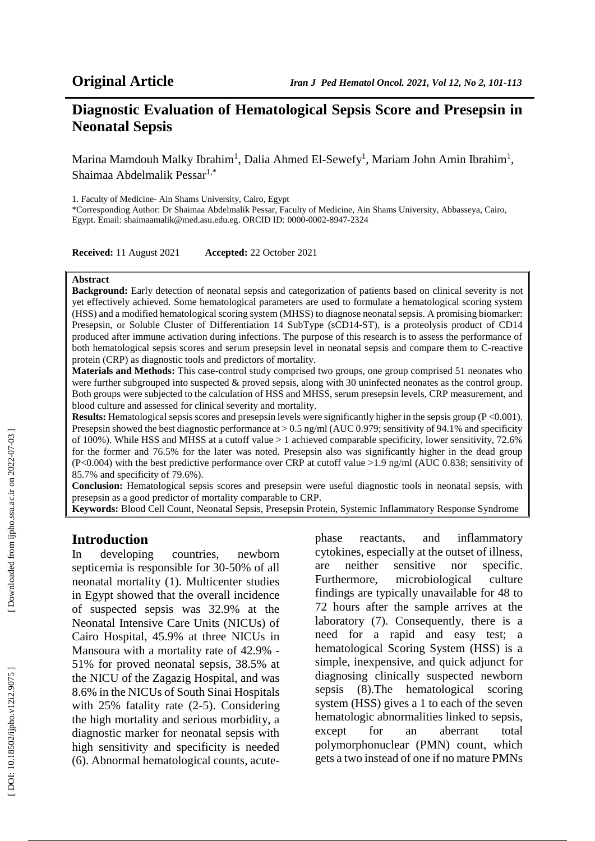## **Diagnostic Evaluation of Hematological Sepsis Score and Presepsin in Neonatal Sepsis**

Marina Mamdouh Malky Ibrahim<sup>1</sup>, Dalia Ahmed El-Sewefy<sup>1</sup>, Mariam John Amin Ibrahim<sup>1</sup>, Shaimaa Abdelmalik Pessar<sup>1,\*</sup>

1. Faculty of Medicine- Ain Shams University, Cairo, Egypt

\*Corresponding Author: Dr Shaimaa Abdelmalik Pessar, Faculty of Medicine, Ain Shams University, Abbasseya, Cairo, Egypt. Email: shaimaamalik@med.asu.edu.eg. ORCID ID: 0000-0002-8947-2324

**Received:** 11 August 2021 **Accepted:** 22 October 2021

#### **Abstract**

**Background:** Early detection of neonatal sepsis and categorization of patients based on clinical severity is not yet effectively achieved. Some hematological parameters are used to formulate a hematological scoring system (HSS) and a modified hematological scoring system (MHSS) to diagnose neonatal sepsis. A promising biomarker: Presepsin, or Soluble Cluster of Differentiation 14 SubType (sCD14-ST), is a proteolysis product of CD14 produced after immune activation during infections. The purpose of this research is to assess the performance of both hematological sepsis scores and serum presepsin level in neonatal sepsis and compare them to C -reactive protein (CRP) as diagnostic tools and predictors of mortality.

**Materials and Methods:** This case -control study comprised two groups, one group comprised 51 neonates who were further subgrouped into suspected & proved sepsis, along with 30 uninfected neonates as the control group. Both groups were subjected to the calculation of HSS and MHSS, serum presepsin levels, CRP measurement, and blood culture and assessed for clinical severity and mortality.

**Results:** Hematological sepsis scores and presepsin levels were significantly higher in the sepsis group (P <0.001). Presepsin showed the best diagnostic performance at  $> 0.5$  ng/ml (AUC 0.979; sensitivity of 94.1% and specificity of 100%). While HSS and MHSS at a cutoff value > 1 achieved comparable specificity, lower sensitivity, 72.6% for the former and 76.5% for the later was noted. Presepsin also was significantly higher in the dead group (P<0.004) with the best predictive performance over CRP at cutoff value >1.9 ng/ml (AUC 0.838; sensitivity of 85.7% and specificity of 79.6%).

**Conclusion:** Hematological sepsis scores and presepsin were useful diagnostic tools in neonatal sepsis, with presepsin as a good predictor of mortality comparable to CRP.

**Keywords:** Blood Cell Count, Neonatal Sepsis, Presepsin Protein, Systemic Inflammatory Response Syndrome

#### **Introduction**

In developing countries, newborn septicemia is responsible for 30 -50% of all neonatal mortality (1). Multicenter studies in Egypt showed that the overall incidence of suspected sepsis was 32.9% at the Neonatal Intensive Care Units (NICUs) of Cairo Hospital, 45.9% at three NICUs in Mansoura with a mortality rate of 42.9% - 51% for proved neonatal sepsis, 38.5% at the NICU of the Zagazig Hospital, and was 8.6% in the NICUs of South Sinai Hospitals with 25% fatality rate (2 -5). Considering the high mortality and serious morbidity, a diagnostic marker for neonatal sepsis with high sensitivity and specificity is needed (6). Abnormal hematological counts, acute -

phase reactants, and inflammatory cytokines, especially at the outset of illness, are neither sensitive nor specific. Furthermore, microbiological culture findings are typically unavailable for 48 to 72 hours after the sample arrives at the laboratory (7). Consequently, there is a need for a rapid and easy test; a hematological Scoring System (HSS) is a simple, inexpensive, and quick adjunct for diagnosing clinically suspected newborn sepsis (8).The hematological scoring system (HSS) gives a 1 to each of the seven hematologic abnormalities linked to sepsis, except for an aberrant total polymorphonuclear (PMN) count, which gets a two instead of one if no mature PMNs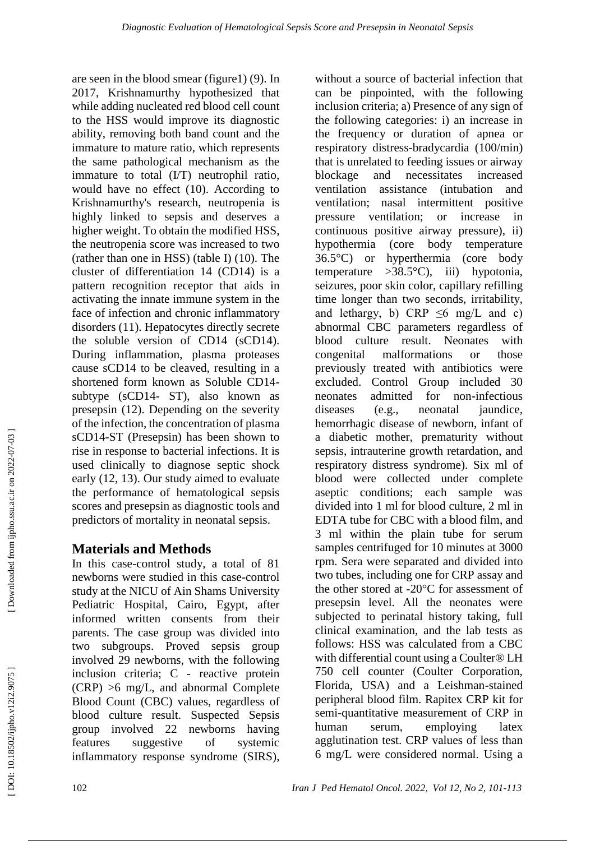are seen in the blood smear (figure1) (9). In 2017, Krishnamurthy hypothesized that while adding nucleated red blood cell count to the HSS would improve its diagnostic ability, removing both band count and the immature to mature ratio, which represents the same pathological mechanism as the immature to total (I/T) neutrophil ratio, would have no effect (10). According to Krishnamurthy's research, neutropenia is highly linked to sepsis and deserves a higher weight. To obtain the modified HSS, the neutropenia score was increased to two (rather than one in HSS) (table I) (10). The cluster of differentiation 14 (CD14) is a pattern recognition receptor that aids in activating the innate immune system in the face of infection and chronic inflammatory disorders (11). Hepatocytes directly secrete the soluble version of CD14 (sCD14). During inflammation, plasma proteases cause sCD14 to be cleaved, resulting in a shortened form known as Soluble CD14 subtype (sCD14 - ST), also known as presepsin (12). Depending on the severity of the infection, the concentration of plasma sCD14 -ST (Presepsin) has been shown to rise in response to bacterial infections. It is used clinically to diagnose septic shock early (12, 13). Our study aimed to evaluate the performance of hematological sepsis scores and presepsin as diagnostic tools and predictors of mortality in neonatal sepsis.

# **Materials and Methods**

In this case -control study, a total of 81 newborns were studied in this case -control study at the NICU of Ain Shams University Pediatric Hospital, Cairo, Egypt, after informed written consents from their parents. The case group was divided into two subgroups. Proved sepsis group involved 29 newborns, with the following inclusion criteria; C - reactive protein (CRP) >6 mg/L, and abnormal Complete Blood Count (CBC) values, regardless of blood culture result. Suspected Sepsis group involved 22 newborns having features suggestive of systemic inflammatory response syndrome (SIRS),

without a source of bacterial infection that can be pinpointed, with the following inclusion criteria; a) Presence of any sign of the following categories: i) an increase in the frequency or duration of apnea or respiratory distress -bradycardia (100/min) that is unrelated to feeding issues or airway blockage and necessitates increased ventilation assistance (intubation and ventilation; nasal intermittent positive pressure ventilation; or increase in continuous positive airway pressure), ii) hypothermia (core body temperature 36.5°C) or hyperthermia (core body temperature  $>38.5^{\circ}$ C), iii) hypotonia, seizures, poor skin color, capillary refilling time longer than two seconds, irritability, and lethargy, b) CRP  $\leq 6$  mg/L and c) abnormal CBC parameters regardless of blood culture result. Neonates with congenital malformations or those previously treated with antibiotics were excluded. Control Group included 30 neonates admitted for non -infectious diseases (e.g., neonatal jaundice, hemorrhagic disease of newborn, infant of a diabetic mother, prematurity without sepsis, intrauterine growth retardation, and respiratory distress syndrome). Six ml of blood were collected under complete aseptic conditions; each sample was divided into 1 ml for blood culture, 2 ml in EDTA tube for CBC with a blood film, and 3 ml within the plain tube for serum samples centrifuged for 10 minutes at 3000 rpm. Sera were separated and divided into two tubes, including one for CRP assay and the other stored at -20°C for assessment of presepsin level. All the neonates were subjected to perinatal history taking, full clinical examination, and the lab tests as follows: HSS was calculated from a CBC with differential count using a Coulter® LH 750 cell counter (Coulter Corporation, Florida, USA) and a Leishman -stained peripheral blood film. Rapitex CRP kit for semi -quantitative measurement of CRP in human serum, employing latex agglutination test. CRP values of less than 6 mg/L were considered normal. Using a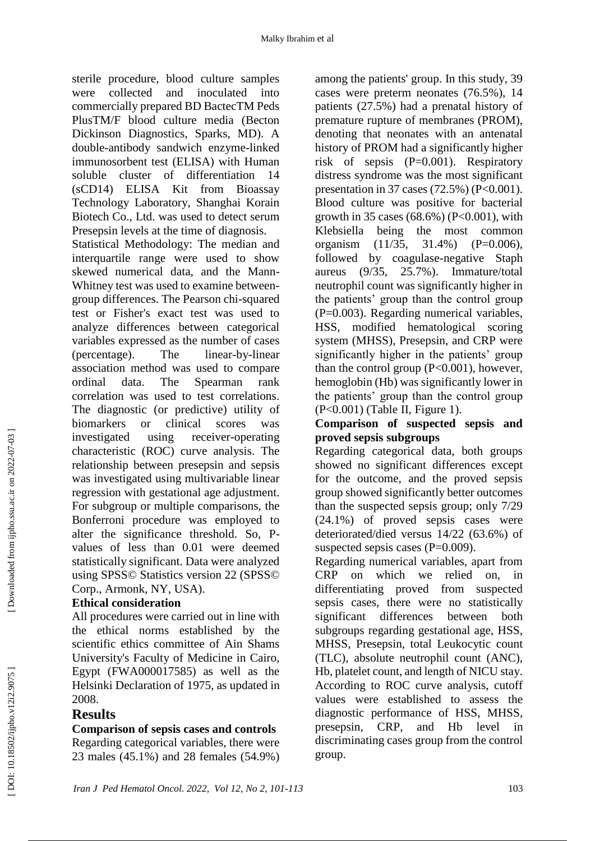sterile procedure, blood culture samples were collected and inoculated into commercially prepared BD BactecTM Peds PlusTM/F blood culture media (Becton Dickinson Diagnostics, Sparks, MD). A double -antibody sandwich enzyme -linked immunosorbent test (ELISA) with Human soluble cluster of differentiation 14 (sCD14) ELISA Kit from Bioassay Technology Laboratory, Shanghai Korain Biotech Co., Ltd. was used to detect serum Presepsin levels at the time of diagnosis.

Statistical Methodology: The median and interquartile range were used to show skewed numerical data, and the Mann - Whitney test was used to examine between group differences. The Pearson chi -squared test or Fisher's exact test was used to analyze differences between categorical variables expressed as the number of cases  $$(\text{percentage})$ . The$ -by -linear association method was used to compare ordinal data. The Spearman rank correlation was used to test correlations. The diagnostic (or predictive) utility of biomarkers or clinical scores was investigated using receiver-operating characteristic (ROC) curve analysis. The relationship between presepsin and sepsis was investigated using multivariable linear regression with gestational age adjustment. For subgroup or multiple comparisons, the Bonferroni procedure was employed to alter the significance threshold. So, P values of less than 0.01 were deemed statistically significant. Data were analyzed using SPSS© Statistics version 22 (SPSS© Corp., Armonk, NY, USA).

### **Ethical consideration**

All procedures were carried out in line with the ethical norms established by the scientific ethics committee of Ain Shams University's Faculty of Medicine in Cairo, Egypt (FWA000017585) as well as the Helsinki Declaration of 1975, as updated in 2008.

### **Results**

### **Comparison of sepsis cases and controls**

Regarding categorical variables, there were 23 males (45.1%) and 28 females (54.9%)

among the patients' group. In this study, 39 cases were preterm neonates (76.5%), 14 patients (27.5%) had a prenatal history of premature rupture of membranes (PROM), denoting that neonates with an antenatal history of PROM had a significantly higher risk of sepsis (P=0.001). Respiratory distress syndrome was the most significant presentation in 37 cases (72.5%) (P<0.001). Blood culture was positive for bacterial growth in 35 cases  $(68.6\%)$  (P<0.001), with Klebsiella being the most common organism (11/35, 31.4%) (P=0.006), followed by coagulase -negative Staph aureus (9/35, 25.7%). Immature/total neutrophil count was significantly higher in the patients' group than the control group (P=0.003). Regarding numerical variables, HSS, modified hematological scoring system (MHSS), Presepsin, and CRP were significantly higher in the patients' group than the control group  $(P<0.001)$ , however, hemoglobin (Hb) was significantly lower in the patients' group than the control group (P<0.001) (Table II, Figure 1).

#### **Comparison of suspected sepsis and proved sepsis subgroup s**

Regarding categorical data, both groups showed no significant differences except for the outcome, and the proved sepsis group showed significantly better outcomes than the suspected sepsis group; only 7/29 (24.1%) of proved sepsis cases were deteriorated/died versus 14/22 (63.6%) of suspected sepsis cases  $(P=0.009)$ .

Regarding numerical variables, apart from CRP on which we relied on, in differentiating proved from suspected sepsis cases, there were no statistically significant differences between both subgroups regarding gestational age, HSS, MHSS, Presepsin, total Leukocytic count (TLC), absolute neutrophil count (ANC), Hb, platelet count, and length of NICU stay. According to ROC curve analysis, cutoff values were established to assess the diagnostic performance of HSS, MHSS, presepsin, CRP, and Hb level in discriminating cases group from the control group.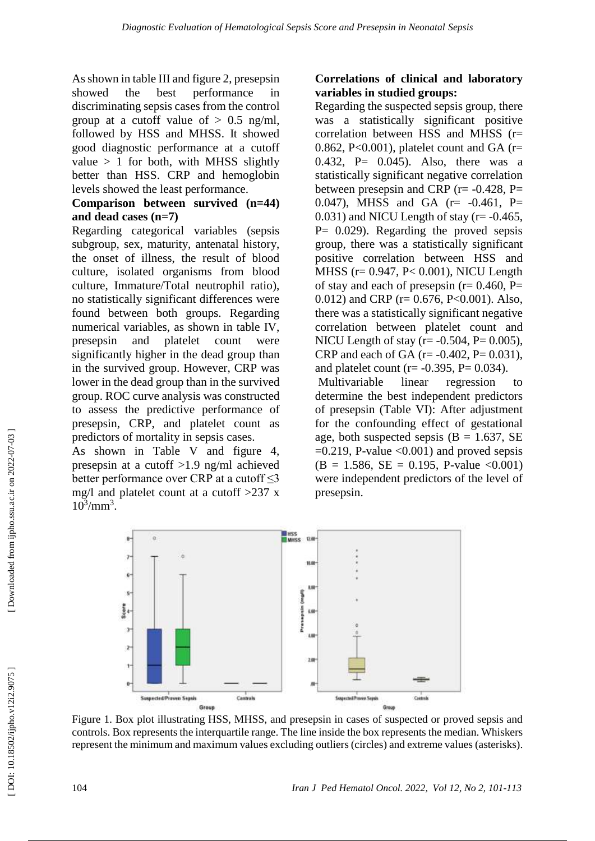As shown in table III and figure 2, presepsin showed the best performance in discriminating sepsis cases from the control group at a cutoff value of  $> 0.5$  ng/ml, followed by HSS and MHSS. It showed good diagnostic performance at a cutoff value  $> 1$  for both, with MHSS slightly better than HSS. CRP and hemoglobin levels showed the least performance.

### **Comparison between survived (n=44) and dead cases (n=7)**

Regarding categorical variables (sepsis subgroup, sex, maturity, antenatal history, the onset of illness, the result of blood culture, isolated organisms from blood culture, Immature/Total neutrophil ratio), no statistically significant differences were found between both groups. Regarding numerical variables, as shown in table IV, presepsin and platelet count were significantly higher in the dead group than in the survived group. However, CRP was lower in the dead group than in the survived group. ROC curve analysis was constructed to assess the predictive performance of presepsin, CRP, and platelet count as predictors of mortality in sepsis cases.

As shown in Table V and figure 4, presepsin at a cutoff >1.9 ng/ml achieved better performance over CRP at a cutoff  $\leq$ 3 mg/l and platelet count at a cutoff >237 x  $10^3/\text{mm}^3$ .

## **Correlations of clinical and laboratory variables in studied groups:**

Regarding the suspected sepsis group, there was a statistically significant positive correlation between HSS and MHSS (r= 0.862, P<0.001), platelet count and GA ( $r=$ 0.432, P= 0.045). Also, there was a statistically significant negative correlation between presepsin and CRP ( $r = -0.428$ , P= 0.047), MHSS and GA  $(r= -0.461, P=$  $0.031$ ) and NICU Length of stay ( $r = -0.465$ ,  $P= 0.029$ . Regarding the proved sepsis group, there was a statistically significant positive correlation between HSS and MHSS (r= 0.947, P< 0.001), NICU Length of stay and each of presepsin ( $r= 0.460$ , P= 0.012) and CRP (r= 0.676, P<0.001). Also, there was a statistically significant negative correlation between platelet count and NICU Length of stay  $(r = -0.504, P = 0.005)$ , CRP and each of GA ( $r = -0.402$ ,  $P = 0.031$ ), and platelet count ( $r = -0.395$ ,  $P = 0.034$ ).

Multivariable linear regression to determine the best independent predictors of presepsin (Table VI): After adjustment for the confounding effect of gestational age, both suspected sepsis ( $B = 1.637$ , SE  $=0.219$ , P-value  $<0.001$ ) and proved sepsis  $(B = 1.586, SE = 0.195, P-value < 0.001)$ were independent predictors of the level of presepsin.



Figure 1. Box plot illustrating HSS, MHSS, and presepsin in cases of suspected or proved sepsis and controls. Box represents the interquartile range. The line inside the box represents the median. Whiskers represent the minimum and maximum values excluding outliers (circles) and extreme values (asterisks).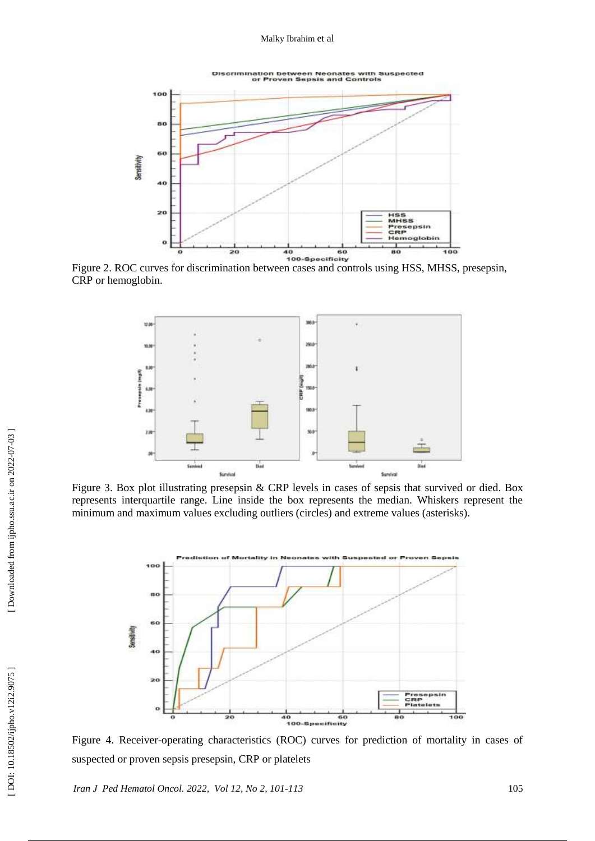Discrimination between Neonates with Suspected<br>or Proven Sepsis and Controls



Figure 2. ROC curves for discrimination between cases and controls using HSS, MHSS, presepsin, CRP or hemoglobin.



Figure 3. Box plot illustrating presepsin & CRP levels in cases of sepsis that survived or died. Box represents interquartile range. Line inside the box represents the median. Whiskers represent the minimum and maximum values excluding outliers (circles) and extreme values (asterisks).



Figure 4. Receiver -operating characteristics (ROC) curves for prediction of mortality in cases of suspected or proven sepsis presepsin, CRP or platelets

*Iran J Ped Hematol Oncol. 2022, Vol 12 , No 2, 101 -113* 105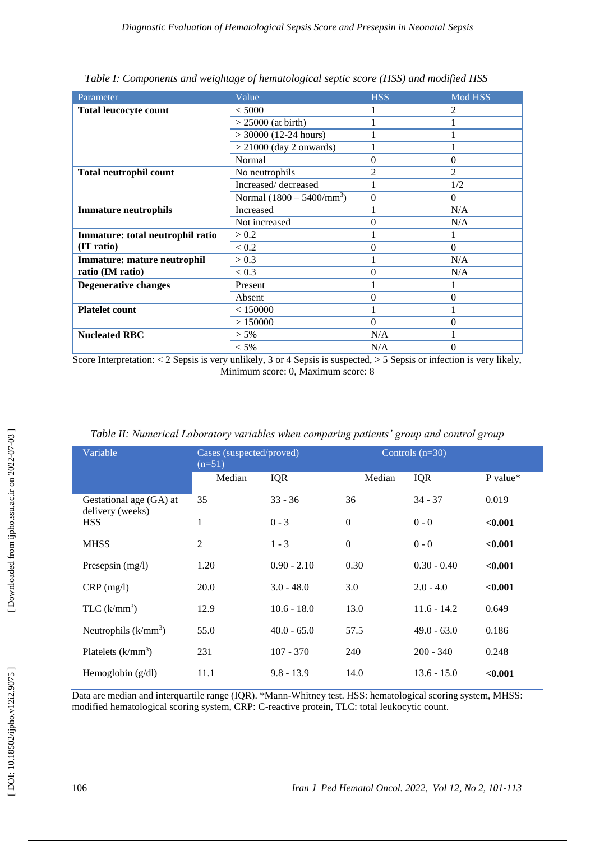| Parameter                          | Value                              | <b>HSS</b>     | Mod HSS        |
|------------------------------------|------------------------------------|----------------|----------------|
| <b>Total leucocyte count</b>       | < 5000                             |                | 2              |
|                                    | $> 25000$ (at birth)               |                |                |
|                                    | $>$ 30000 (12-24 hours)            |                |                |
|                                    | $>$ 21000 (day 2 onwards)          |                |                |
|                                    | Normal                             | $\theta$       | 0              |
| <b>Total neutrophil count</b>      | No neutrophils                     | $\overline{c}$ | $\mathfrak{D}$ |
|                                    | Increased/decreased                |                | 1/2            |
|                                    | Normal $(1800 - 5400/\text{mm}^3)$ | $\mathbf{0}$   | $\Omega$       |
| <b>Immature neutrophils</b>        | <b>Increased</b>                   |                | N/A            |
|                                    | Not increased                      | 0              | N/A            |
| Immature: total neutrophil ratio   | > 0.2                              |                |                |
| (IT ratio)                         | < 0.2                              | $\theta$       | $\Omega$       |
| <b>Immature: mature neutrophil</b> | > 0.3                              |                | N/A            |
| ratio (IM ratio)                   | < 0.3                              | $\mathbf{0}$   | N/A            |
| <b>Degenerative changes</b>        | Present                            |                |                |
|                                    | Absent                             | 0              | $\Omega$       |
| <b>Platelet count</b>              | < 150000                           |                |                |
|                                    | >150000                            | $\Omega$       | $\theta$       |
| <b>Nucleated RBC</b>               | $> 5\%$                            | N/A            |                |
|                                    | $< 5\%$                            | N/A            | 0              |

|  | Table I: Components and weightage of hematological septic score (HSS) and modified HSS |  |  |  |
|--|----------------------------------------------------------------------------------------|--|--|--|
|  |                                                                                        |  |  |  |

Score Interpretation: < 2 Sepsis is very unlikely, 3 or 4 Sepsis is suspected, > 5 Sepsis or infection is very likely, Minimum score: 0, Maximum score: 8

| Variable                                    | Cases (suspected/proved)<br>$(n=51)$ |               | Controls $(n=30)$ |               |          |
|---------------------------------------------|--------------------------------------|---------------|-------------------|---------------|----------|
|                                             | Median                               | <b>IQR</b>    | Median            | IQR           | P value* |
| Gestational age (GA) at<br>delivery (weeks) | 35                                   | $33 - 36$     | 36                | $34 - 37$     | 0.019    |
| <b>HSS</b>                                  | $\mathbf{1}$                         | $0 - 3$       | $\boldsymbol{0}$  | $0 - 0$       | < 0.001  |
| <b>MHSS</b>                                 | $\mathfrak{2}$                       | $1 - 3$       | $\boldsymbol{0}$  | $0 - 0$       | < 0.001  |
| Presepsin (mg/l)                            | 1.20                                 | $0.90 - 2.10$ | 0.30              | $0.30 - 0.40$ | < 0.001  |
| $CRP$ (mg/l)                                | 20.0                                 | $3.0 - 48.0$  | 3.0               | $2.0 - 4.0$   | < 0.001  |
| TLC $(k/mm^3)$                              | 12.9                                 | $10.6 - 18.0$ | 13.0              | $11.6 - 14.2$ | 0.649    |
| Neutrophils $(k/mm^3)$                      | 55.0                                 | $40.0 - 65.0$ | 57.5              | $49.0 - 63.0$ | 0.186    |
| Platelets $(k/mm^3)$                        | 231                                  | $107 - 370$   | 240               | $200 - 340$   | 0.248    |
| Hemoglobin $(g/dl)$                         | 11.1                                 | $9.8 - 13.9$  | 14.0              | $13.6 - 15.0$ | < 0.001  |

*Table II: Numerical Laboratory variables when comparing patients' group and control group*

Data are median and interquartile range (IQR). \*Mann-Whitney test. HSS: hematological scoring system, MHSS: modified hematological scoring system, CRP: C-reactive protein, TLC: total leukocytic count.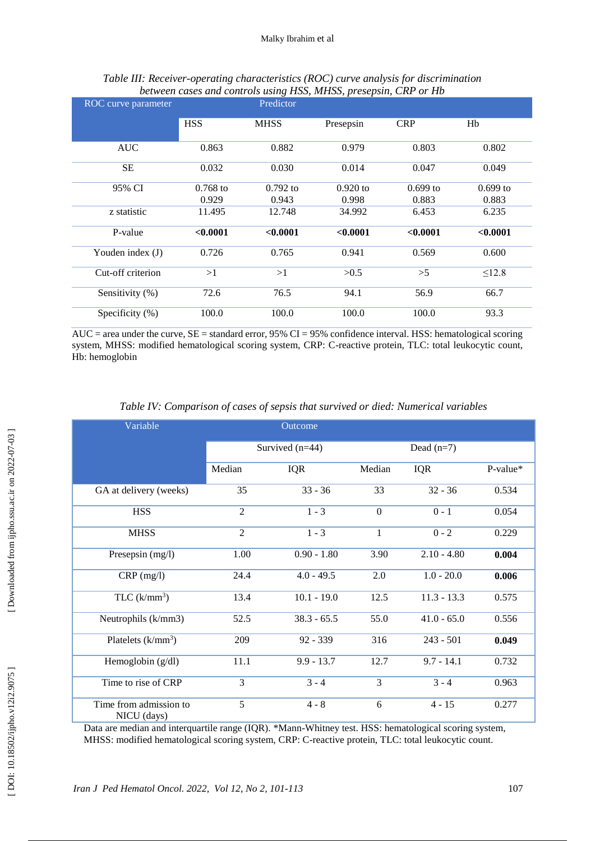| ROC curve parameter |                     | Predictor           | $\sim$ 1            |                     |                     |
|---------------------|---------------------|---------------------|---------------------|---------------------|---------------------|
|                     | <b>HSS</b>          | <b>MHSS</b>         | Presepsin           | <b>CRP</b>          | Hb                  |
| <b>AUC</b>          | 0.863               | 0.882               | 0.979               | 0.803               | 0.802               |
| SE                  | 0.032               | 0.030               | 0.014               | 0.047               | 0.049               |
| 95% CI              | $0.768$ to<br>0.929 | $0.792$ to<br>0.943 | $0.920$ to<br>0.998 | $0.699$ to<br>0.883 | $0.699$ to<br>0.883 |
| z statistic         | 11.495              | 12.748              | 34.992              | 6.453               | 6.235               |
| P-value             | < 0.0001            | < 0.0001            | < 0.0001            | < 0.0001            | < 0.0001            |
| Youden index (J)    | 0.726               | 0.765               | 0.941               | 0.569               | 0.600               |
| Cut-off criterion   | >1                  | >1                  | >0.5                | >5                  | $\leq$ 12.8         |
| Sensitivity (%)     | 72.6                | 76.5                | 94.1                | 56.9                | 66.7                |
| Specificity (%)     | 100.0               | 100.0               | 100.0               | 100.0               | 93.3                |

#### Table III: Receiver-operating characteristics (ROC) curve analysis for discrimination *between cases and controls using HSS, MHSS, presepsin, CRP or Hb*

 $\overline{\text{AUC}}$  = area under the curve,  $\overline{\text{SE}}$  = standard error, 95% CI = 95% confidence interval. HSS: hematological scoring system, MHSS: modified hematological scoring system, CRP: C-reactive protein, TLC: total leukocytic count, Hb: hemoglobin

| Variable                              |                   | Outcome       |                |               |            |
|---------------------------------------|-------------------|---------------|----------------|---------------|------------|
|                                       | Survived $(n=44)$ |               |                | Dead $(n=7)$  |            |
|                                       | Median            | <b>IQR</b>    | Median         | <b>IQR</b>    | $P-value*$ |
| GA at delivery (weeks)                | 35                | $33 - 36$     | 33             | $32 - 36$     | 0.534      |
| <b>HSS</b>                            | $\overline{2}$    | $1 - 3$       | $\overline{0}$ | $0 - 1$       | 0.054      |
| <b>MHSS</b>                           | $\overline{2}$    | $1 - 3$       | $\mathbf 1$    | $0 - 2$       | 0.229      |
| Presepsin (mg/l)                      | 1.00              | $0.90 - 1.80$ | 3.90           | $2.10 - 4.80$ | 0.004      |
| $CRP$ (mg/l)                          | 24.4              | $4.0 - 49.5$  | 2.0            | $1.0 - 20.0$  | 0.006      |
| $TLC$ (k/mm <sup>3</sup> )            | 13.4              | $10.1 - 19.0$ | 12.5           | $11.3 - 13.3$ | 0.575      |
| Neutrophils (k/mm3)                   | 52.5              | $38.3 - 65.5$ | 55.0           | $41.0 - 65.0$ | 0.556      |
| Platelets $(k/mm^3)$                  | 209               | $92 - 339$    | 316            | $243 - 501$   | 0.049      |
| Hemoglobin (g/dl)                     | 11.1              | $9.9 - 13.7$  | 12.7           | $9.7 - 14.1$  | 0.732      |
| Time to rise of CRP                   | 3                 | $3 - 4$       | 3              | $3 - 4$       | 0.963      |
| Time from admission to<br>NICU (days) | 5                 | $4 - 8$       | 6              | $4 - 15$      | 0.277      |

#### *Table IV: Comparison of cases of sepsis that survived or died: Numerical variables*

Data are median and interquartile range (IQR). \*Mann-Whitney test. HSS: hematological scoring system, MHSS: modified hematological scoring system, CRP: C -reactive protein, TLC: total leukocytic count.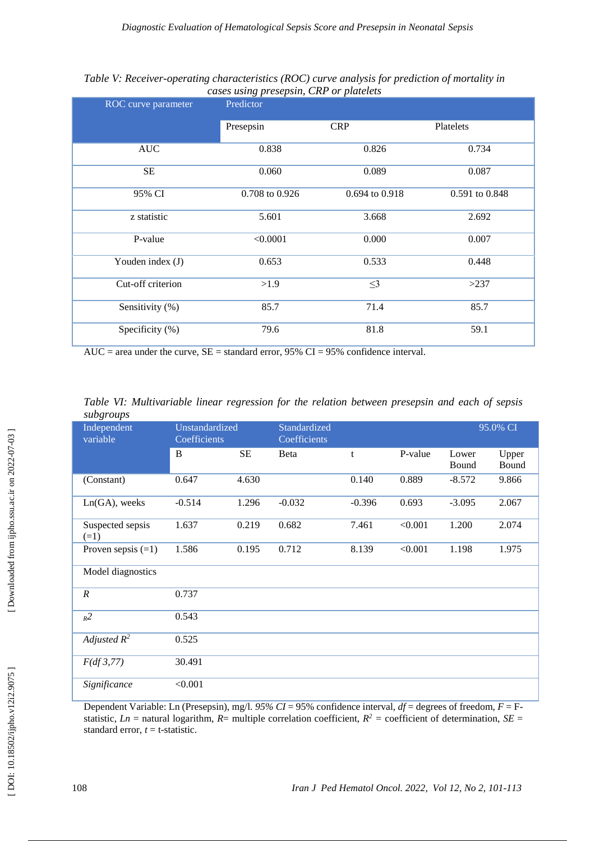|                     | $\alpha$       |                |                |  |
|---------------------|----------------|----------------|----------------|--|
| ROC curve parameter | Predictor      |                |                |  |
|                     | Presepsin      | <b>CRP</b>     | Platelets      |  |
| <b>AUC</b>          | 0.838          | 0.826          | 0.734          |  |
| <b>SE</b>           | 0.060          | 0.089          | 0.087          |  |
| 95% CI              | 0.708 to 0.926 | 0.694 to 0.918 | 0.591 to 0.848 |  |
| z statistic         | 5.601          | 3.668          | 2.692          |  |
| P-value             | < 0.0001       | 0.000          | 0.007          |  |
| Youden index (J)    | 0.653          | 0.533          | 0.448          |  |
| Cut-off criterion   | >1.9           | $\leq$ 3       | >237           |  |
| Sensitivity (%)     | 85.7           | 71.4           | 85.7           |  |
| Specificity (%)     | 79.6           | 81.8           | 59.1           |  |

Table V: Receiver-operating characteristics (ROC) curve analysis for prediction of mortality in *cases using presepsin, CRP or platelets*

 $AUC = area$  under the curve,  $SE = standard$  error, 95%  $CI = 95%$  confidence interval.

| Independent<br>variable    | Unstandardized<br>Coefficients |           | Standardized<br>Coefficients |          |         |                | 95.0% CI       |  |  |
|----------------------------|--------------------------------|-----------|------------------------------|----------|---------|----------------|----------------|--|--|
|                            | B                              | <b>SE</b> | Beta                         | t        | P-value | Lower<br>Bound | Upper<br>Bound |  |  |
| (Constant)                 | 0.647                          | 4.630     |                              | 0.140    | 0.889   | $-8.572$       | 9.866          |  |  |
| $Ln(GA)$ , weeks           | $-0.514$                       | 1.296     | $-0.032$                     | $-0.396$ | 0.693   | $-3.095$       | 2.067          |  |  |
| Suspected sepsis<br>$(=1)$ | 1.637                          | 0.219     | 0.682                        | 7.461    | < 0.001 | 1.200          | 2.074          |  |  |
| Proven sepsis $(=1)$       | 1.586                          | 0.195     | 0.712                        | 8.139    | < 0.001 | 1.198          | 1.975          |  |  |
| Model diagnostics          |                                |           |                              |          |         |                |                |  |  |
| $\boldsymbol{R}$           | 0.737                          |           |                              |          |         |                |                |  |  |
| $R^2$                      | 0.543                          |           |                              |          |         |                |                |  |  |
| Adjusted $R^2$             | 0.525                          |           |                              |          |         |                |                |  |  |
| F(df 3, 77)                | 30.491                         |           |                              |          |         |                |                |  |  |
| Significance               | < 0.001                        |           |                              |          |         |                |                |  |  |

*Table VI : Multivariable linear regression for the relation between presepsin and each of sepsis subgroups*

Dependent Variable: Ln (Presepsin), mg/l.  $95\% CI = 95\%$  confidence interval,  $df =$  degrees of freedom,  $F =$  Fstatistic,  $Ln =$  natural logarithm,  $R =$  multiple correlation coefficient,  $R^2 =$  coefficient of determination,  $SE =$ standard error,  $t = t$ -statistic.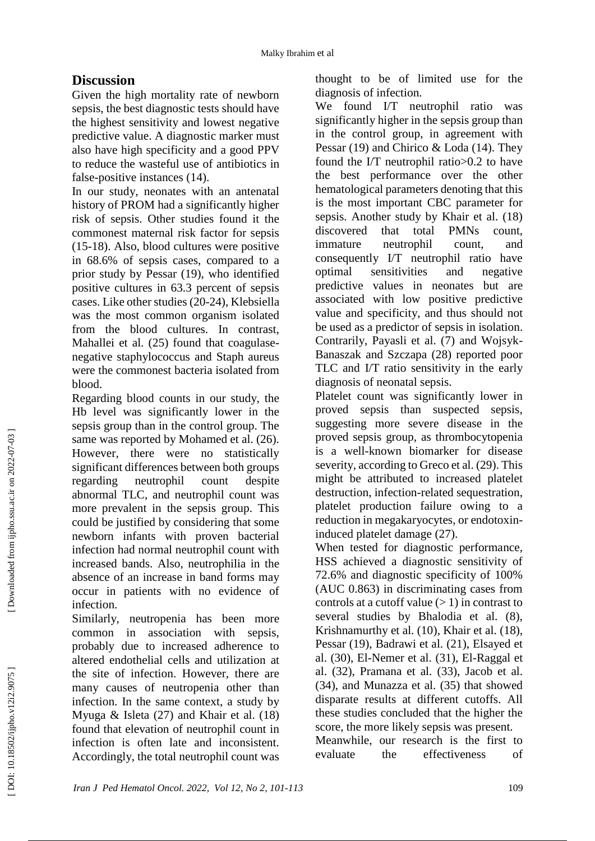## **Discussion**

Given the high mortality rate of newborn sepsis, the best diagnostic tests should have the highest sensitivity and lowest negative predictive value. A diagnostic marker must also have high specificity and a good PPV to reduce the wasteful use of antibiotics in false -positive instances (14).

In our study, neonates with an antenatal history of PROM had a significantly higher risk of sepsis. Other studies found it the commonest maternal risk factor for sepsis (15 -18). Also, blood cultures were positive in 68.6% of sepsis cases, compared to a prior study by Pessar (19), who identified positive cultures in 63.3 percent of sepsis cases. Like other studies (20 -24), Klebsiella was the most common organism isolated from the blood cultures. In contrast, Mahallei et al. (25) found that coagulasenegative staphylococcus and Staph aureus were the commonest bacteria isolated from blood.

Regarding blood counts in our study, the Hb level was significantly lower in the sepsis group than in the control group. The same was reported by Mohamed et al. (26). However, there were no statistically significant differences between both groups regarding neutrophil count despite abnormal TLC, and neutrophil count was more prevalent in the sepsis group. This could be justified by considering that some newborn infants with proven bacterial infection had normal neutrophil count with increased bands. Also, neutrophilia in the absence of an increase in band forms may occur in patients with no evidence of infection.

Similarly, neutropenia has been more common in association with sepsis, probably due to increased adherence to altered endothelial cells and utilization at the site of infection. However, there are many causes of neutropenia other than infection. In the same context, a study by Myuga & Isleta (27) and Khair et al. (18) found that elevation of neutrophil count in infection is often late and inconsistent. Accordingly, the total neutrophil count was

thought to be of limited use for the diagnosis of infection.

We found I/T neutrophil ratio was significantly higher in the sepsis group than in the control group, in agreement with Pessar (19) and Chirico & Loda (14). They found the I/T neutrophil ratio>0.2 to have the best performance over the other hematological parameters denoting that this is the most important CBC parameter for sepsis. Another study by Khair et al. (18) discovered that total PMNs count, immature neutrophil count, and consequently I/T neutrophil ratio have optimal sensitivities and negative predictive values in neonates but are associated with low positive predictive value and specificity, and thus should not be used as a predictor of sepsis in isolation. Contrarily, Payasli et al. (7) and Wojsyk - Banaszak and Szczapa (28) reported poor TLC and I/T ratio sensitivity in the early diagnosis of neonatal sepsis.

Platelet count was significantly lower in proved sepsis than suspected sepsis, suggesting more severe disease in the proved sepsis group, as thrombocytopenia is a well -known biomarker for disease severity, according to Greco et al. (29). This might be attributed to increased platelet destruction, infection -related sequestration, platelet production failure owing to a reduction in megakaryocytes, or endotoxin induced platelet damage (27).

When tested for diagnostic performance, HSS achieved a diagnostic sensitivity of 72.6% and diagnostic specificity of 100% (AUC 0.863) in discriminating cases from controls at a cutoff value  $(> 1)$  in contrast to several studies by Bhalodia et al. (8), Krishnamurthy et al. (10), Khair et al. (18), Pessar (19), Badrawi et al. (21), Elsayed et al. (30), El -Nemer et al. (31), El -Raggal et al. (32), Pramana et al. (33), Jacob et al. (34), and Munazza et al. (35) that showed disparate results at different cutoffs. All these studies concluded that the higher the score, the more likely sepsis was present.

Meanwhile, our research is the first to evaluate the effectiveness of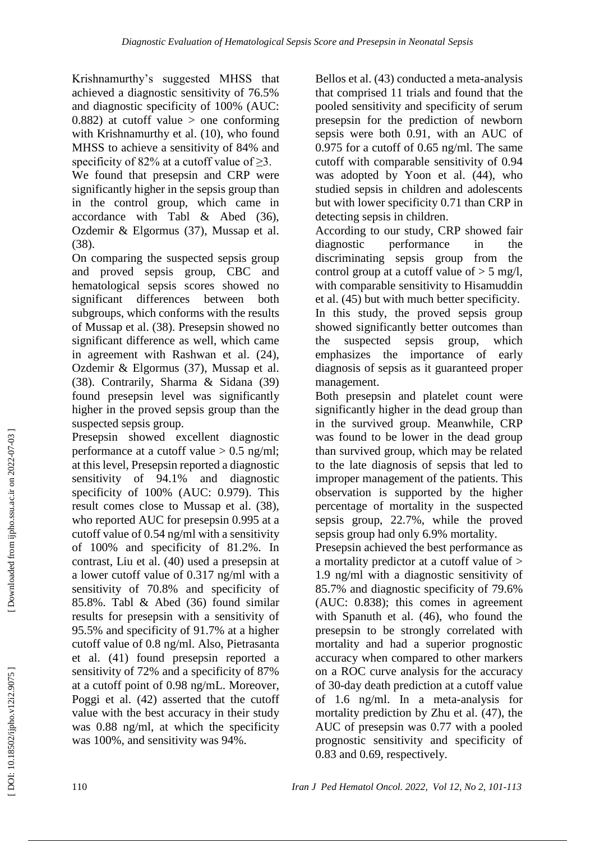Krishnamurthy's suggested MHSS that achieved a diagnostic sensitivity of 76.5% and diagnostic specificity of 100% (AUC: 0.882) at cutoff value  $>$  one conforming with Krishnamurthy et al. (10), who found MHSS to achieve a sensitivity of 84% and specificity of 82% at a cutoff value of >3.

We found that presepsin and CRP were significantly higher in the sepsis group than in the control group, which came in accordance with Tabl & Abed (36), Ozdemir & Elgormus (37), Mussap et al. (38).

On comparing the suspected sepsis group and proved sepsis group, CBC and hematological sepsis scores showed no significant differences between both subgroups, which conforms with the results of Mussap et al. (38). Presepsin showed no significant difference as well, which came in agreement with Rashwan et al. (24), Ozdemir & Elgormus (37), Mussap et al. (38). Contrarily, Sharma & Sidana (39) found presepsin level was significantly higher in the proved sepsis group than the suspected sepsis group.

Presepsin showed excellent diagnostic performance at a cutoff value  $> 0.5$  ng/ml; at this level, Presepsin reported a diagnostic sensitivity of 94.1% and diagnostic specificity of 100% (AUC: 0.979). This result comes close to Mussap et al. (38), who reported AUC for presepsin 0.995 at a cutoff value of 0.54 ng/ml with a sensitivity of 100% and specificity of 81.2%. In contrast, Liu et al. (40) used a presepsin at a lower cutoff value of 0.317 ng/ml with a sensitivity of 70.8% and specificity of 85.8%. Tabl & Abed (36) found similar results for presepsin with a sensitivity of 95.5% and specificity of 91.7% at a higher cutoff value of 0.8 ng/ml. Also, Pietrasanta et al. (41) found presepsin reported a sensitivity of 72% and a specificity of 87% at a cutoff point of 0.98 ng/mL. Moreover, Poggi et al. (42) asserted that the cutoff value with the best accuracy in their study was 0.88 ng/ml, at which the specificity was 100%, and sensitivity was 94%.

Bellos et al. (43) conducted a meta -analysis that comprised 11 trials and found that the pooled sensitivity and specificity of serum presepsin for the prediction of newborn sepsis were both 0.91, with an AUC of 0.975 for a cutoff of 0.65 ng/ml. The same cutoff with comparable sensitivity of 0.94 was adopted by Yoon et al. (44), who studied sepsis in children and adolescents but with lower specificity 0.71 than CRP in detecting sepsis in children.

According to our study, CRP showed fair diagnostic performance in the discriminating sepsis group from the control group at a cutoff value of  $> 5$  mg/l, with comparable sensitivity to Hisamuddin et al. (45) but with much better specificity. In this study, the proved sepsis group showed significantly better outcomes than the suspected sepsis group, which emphasizes the importance of early diagnosis of sepsis as it guaranteed proper management.

Both presepsin and platelet count were significantly higher in the dead group than in the survived group. Meanwhile, CRP was found to be lower in the dead group than survived group, which may be related to the late diagnosis of sepsis that led to improper management of the patients. This observation is supported by the higher percentage of mortality in the suspected sepsis group, 22.7%, while the proved sepsis group had only 6.9% mortality.

Presepsin achieved the best performance as a mortality predictor at a cutoff value of > 1.9 ng/ml with a diagnostic sensitivity of 85.7% and diagnostic specificity of 79.6% (AUC: 0.838); this comes in agreement with Spanuth et al. (46), who found the presepsin to be strongly correlated with mortality and had a superior prognostic accuracy when compared to other markers on a ROC curve analysis for the accuracy of 30 -day death prediction at a cutoff value of 1.6 ng/ml. In a meta -analysis for mortality prediction by Zhu et al. (47), the AUC of presepsin was 0.77 with a pooled prognostic sensitivity and specificity of 0.83 and 0.69, respectively.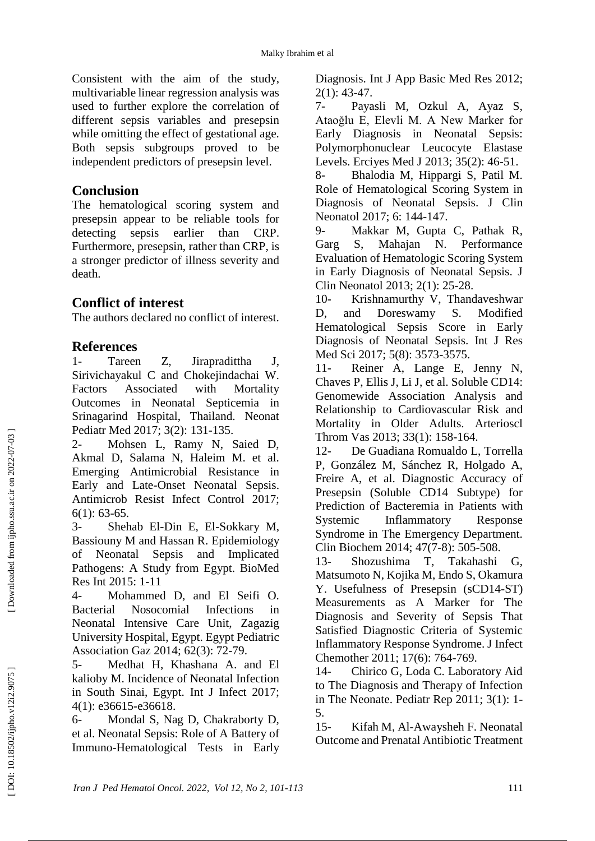Consistent with the aim of the study, multivariable linear regression analysis was used to further explore the correlation of different sepsis variables and presepsin while omitting the effect of gestational age. Both sepsis subgroups proved to be independent predictors of presepsin level.

### **Conclusion**

The hematological scoring system and presepsin appear to be reliable tools for detecting sepsis earlier than CRP. Furthermore, presepsin, rather than CRP, is a stronger predictor of illness severity and death.

### **Conflict of interest**

The authors declared no conflict of interest.

### **References**

1- Tareen Z, Jirapradittha J, Sirivichayakul C and Chokejindachai W. Factors Associated with Mortality Outcomes in Neonatal Septicemia in Srinagarind Hospital, Thailand. Neonat Pediatr Med 2017; 3(2): 131 -135.

 $2 -$ Mohsen L, Ramy N, Saied D, Akmal D, Salama N, Haleim M. et al. Emerging Antimicrobial Resistance in Early and Late -Onset Neonatal Sepsis. Antimicrob Resist Infect Control 2017; 6(1): 63 -65.

 $3-$ - Shehab El -Din E, El -Sokkary M, Bassiouny M and Hassan R. Epidemiology of Neonatal Sepsis and Implicated Pathogens: A Study from Egypt. BioMed Res Int 2015: 1 -11

4 Mohammed D, and El Seifi O. Bacterial Nosocomial Infections in Neonatal Intensive Care Unit, Zagazig University Hospital, Egypt. Egypt Pediatric Association Gaz 2014; 62(3): 72 -79.

 $5-$ Medhat H, Khashana A. and El kalioby M. Incidence of Neonatal Infection in South Sinai, Egypt. Int J Infect 2017; 4(1): e36615 -e36618.

Mondal S, Nag D, Chakraborty D, et al. Neonatal Sepsis: Role of A Battery of Immuno -Hematological Tests in Early Diagnosis. Int J App Basic Med Res 2012; 2(1): 43 -47.

 $7-$ Payasli M, Ozkul A, Ayaz S, Ataoğlu E, Elevli M. A New Marker for Early Diagnosis in Neonatal Sepsis: Polymorphonuclear Leucocyte Elastase Levels. Erciyes Med J 2013; 35(2): 46 -51.

8 - Bhalodia M, Hippargi S, Patil M. Role of Hematological Scoring System in Diagnosis of Neonatal Sepsis. J Clin Neonatol 2017; 6: 144 -147.

 $9-$ Makkar M, Gupta C, Pathak R, Garg S, Mahajan N. Performance Evaluation of Hematologic Scoring System in Early Diagnosis of Neonatal Sepsis. J Clin Neonatol 2013; 2(1): 25 -28.

 $10 -$ Krishnamurthy V, Thandaveshwar D, and Doreswamy S. Modified Hematological Sepsis Score in Early Diagnosis of Neonatal Sepsis. Int J Res Med Sci 2017; 5(8): 3573 -3575.

 $11 -$ Reiner A, Lange E, Jenny N, Chaves P, Ellis J, Li J, et al. Soluble CD14: Genomewide Association Analysis and Relationship to Cardiovascular Risk and Mortality in Older Adults. Arterioscl Throm Vas 2013; 33(1): 158 -164.

 $12 -$ De Guadiana Romualdo L, Torrella P, González M, Sánchez R, Holgado A, Freire A, et al. Diagnostic Accuracy of Presepsin (Soluble CD14 Subtype) for Prediction of Bacteremia in Patients with Systemic Inflammatory Response Syndrome in The Emergency Department. Clin Biochem 2014; 47( 7 -8): 505 -508.

 $13 -$ - Shozushima T, Takahashi G, Matsumoto N, Kojika M, Endo S, Okamura Y. Usefulness of Presepsin (sCD14-ST) Measurements as A Marker for The Diagnosis and Severity of Sepsis That Satisfied Diagnostic Criteria of Systemic Inflammatory Response Syndrome. J Infect Chemother 2011; 17(6): 764 -769.

 $14-$ Chirico G, Loda C. Laboratory Aid to The Diagnosis and Therapy of Infection in The Neonate. Pediatr Rep 2011; 3(1): 1 - 5.

15 - Kifah M, Al -Awaysheh F. Neonatal Outcome and Prenatal Antibiotic Treatment

DOI: 10.18502/ijpho.v12i2.9075]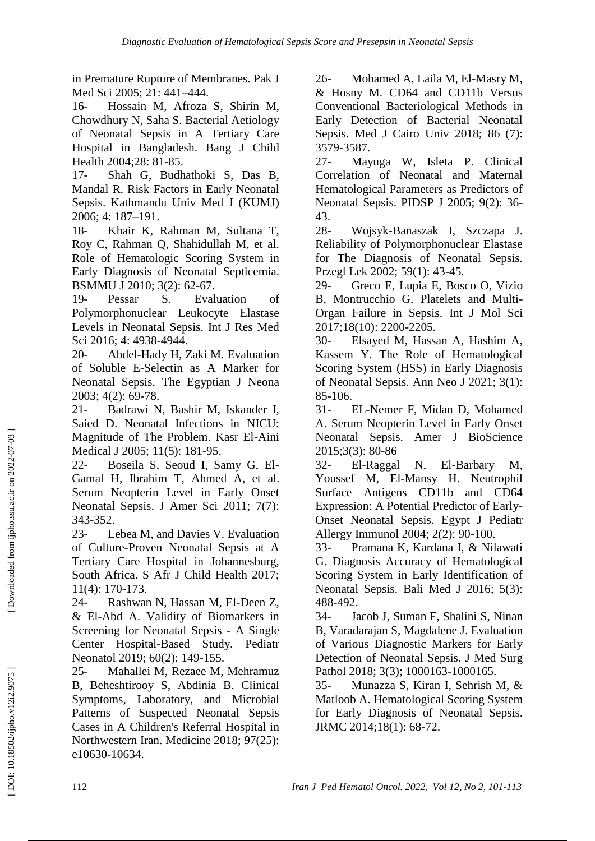in Premature Rupture of Membranes. Pak J Med Sci 2005; 21: 441 –444.

16 - Hossain M, Afroza S, Shirin M, Chowdhury N, Saha S. Bacterial Aetiology of Neonatal Sepsis in A Tertiary Care Hospital in Bangladesh. Bang J Child Health 2004;28: 81 -85.

 $17 -$ - Shah G, Budhathoki S, Das B, Mandal R. Risk Factors in Early Neonatal Sepsis. Kathmandu Univ Med J (KUMJ) 2006; 4: 187 –191.

18 - Khair K, Rahman M, Sultana T, Roy C, Rahman Q, Shahidullah M, et al. Role of Hematologic Scoring System in Early Diagnosis of Neonatal Septicemia. BSMMU J 2010; 3(2): 62 -67.

 $19-$ Pessar S. Evaluation of Polymorphonuclear Leukocyte Elastase Levels in Neonatal Sepsis. Int J Res Med Sci 2016; 4: 4938 -4944.

20 - Abdel -Hady H, Zaki M. Evaluation of Soluble E -Selectin as A Marker for Neonatal Sepsis. The Egyptian J Neona 2003; 4(2): 69 -78.

 $21 -$ - Badrawi N, Bashir M, Iskander I, Saied D. Neonatal Infections in NICU: Magnitude of The Problem. Kasr El -Aini Medical J 2005; 11(5): 181 -95.

22 - Boseila S, Seoud I, Samy G, El - Gamal H, Ibrahim T, Ahmed A, et al. Serum Neopterin Level in Early Onset Neonatal Sepsis. J Amer Sci 2011; 7(7): 343 -352.

 $23 -$ Lebea M, and Davies V. Evaluation of Culture -Proven Neonatal Sepsis at A Tertiary Care Hospital in Johannesburg, South Africa. S Afr J Child Health 2017; 11(4): 170 -173.

 $24-$ - Rashwan N, Hassan M, El -Deen Z, & El -Abd A. Validity of Biomarkers in Screening for Neonatal Sepsis - A Single Center Hospital -Based Study. Pediatr Neonatol 2019; 60(2): 149 -155.

 $25 -$ Mahallei M, Rezaee M, Mehramuz B, Beheshtirooy S, Abdinia B. Clinical Symptoms, Laboratory, and Microbial Patterns of Suspected Neonatal Sepsis Cases in A Children's Referral Hospital in Northwestern Iran. Medicine 2018; 97(25): e10630 -10634.

26 - Mohamed A, Laila M, El -Masry M, & Hosny M. CD64 and CD11b Versus Conventional Bacteriological Methods in Early Detection of Bacterial Neonatal Sepsis. Med J Cairo Univ 2018; 86 (7): 3579 -3587.

 $27 -$ Mayuga W, Isleta P. Clinical Correlation of Neonatal and Maternal Hematological Parameters as Predictors of Neonatal Sepsis. PIDSP J 2005; 9(2): 36 - 43.

28 - Wojsyk -Banaszak I, Szczapa J. Reliability of Polymorphonuclear Elastase for The Diagnosis of Neonatal Sepsis. Przegl Lek 2002; 59(1): 43 -45.

29 - Greco E, Lupia E, Bosco O, Vizio B, Montrucchio G. Platelets and Multi - Organ Failure in Sepsis. Int J Mol Sci 2017;18(10): 2200 -2205.

 $30-$ - Elsayed M, Hassan A, Hashim A, Kassem Y. The Role of Hematological Scoring System (HSS) in Early Diagnosis of Neonatal Sepsis. Ann Neo J 2021; 3(1): 85 -106.

 $31 -$ - EL -Nemer F, Midan D, Mohamed A. Serum Neopterin Level in Early Onset Neonatal Sepsis. Amer J BioScience 2015;3(3): 80 -86

32 El-Raggal -Raggal N, El -Barbary M, Youssef M, El -Mansy H. Neutrophil Surface Antigens CD11b and CD64 Expression: A Potential Predictor of Early - Onset Neonatal Sepsis. Egypt J Pediatr Allergy Immunol 2004; 2(2): 90 -100.

33 Pramana K, Kardana I, & Nilawati G. Diagnosis Accuracy of Hematological Scoring System in Early Identification of Neonatal Sepsis. Bali Med J 2016; 5(3): 488 -492.

 $34 -$ Jacob J, Suman F, Shalini S, Ninan B, Varadarajan S, Magdalene J. Evaluation of Various Diagnostic Markers for Early Detection of Neonatal Sepsis. J Med Surg Pathol 2018; 3(3); 1000163-1000165.

 $35 -$ - Munazza S, Kiran I, Sehrish M, & Matloob A. Hematological Scoring System for Early Diagnosis of Neonatal Sepsis. JRMC 2014;18(1): 68 -72.